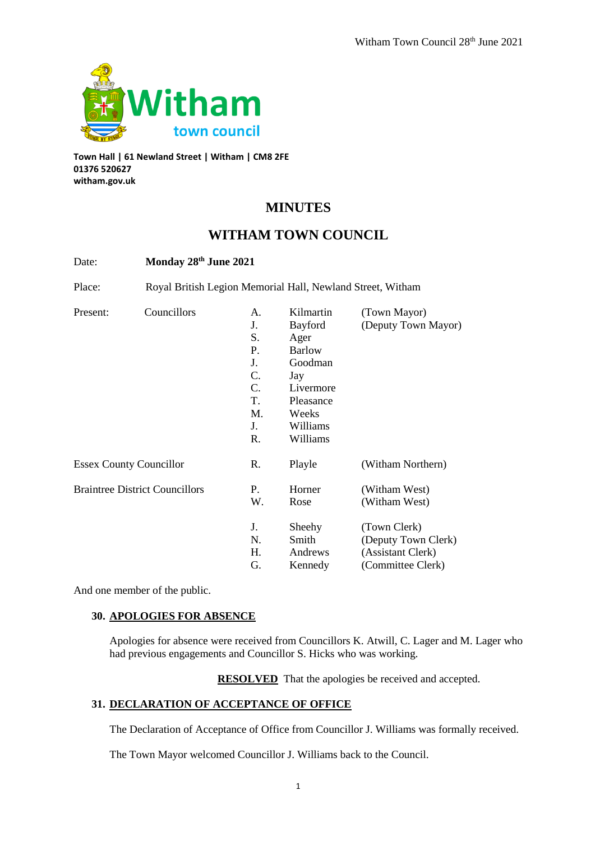

**Town Hall | 61 Newland Street | Witham | CM8 2FE 01376 520627 witham.gov.uk**

# **MINUTES**

# **WITHAM TOWN COUNCIL**

| Date:                                 |                                                            | Monday 28th June 2021                                    |                                                                                                                |                                                                               |  |
|---------------------------------------|------------------------------------------------------------|----------------------------------------------------------|----------------------------------------------------------------------------------------------------------------|-------------------------------------------------------------------------------|--|
| Place:                                | Royal British Legion Memorial Hall, Newland Street, Witham |                                                          |                                                                                                                |                                                                               |  |
| Present:                              | Councillors                                                | A.<br>J.<br>S.<br>Ρ.<br>J.<br>C.<br>C.<br>T.<br>M.<br>J. | Kilmartin<br>Bayford<br>Ager<br><b>Barlow</b><br>Goodman<br>Jay<br>Livermore<br>Pleasance<br>Weeks<br>Williams | (Town Mayor)<br>(Deputy Town Mayor)                                           |  |
|                                       |                                                            | R.                                                       | Williams                                                                                                       |                                                                               |  |
| <b>Essex County Councillor</b>        |                                                            | R.                                                       | Playle                                                                                                         | (Witham Northern)                                                             |  |
| <b>Braintree District Councillors</b> |                                                            | Ρ.<br>W.                                                 | Horner<br>Rose                                                                                                 | (Witham West)<br>(Witham West)                                                |  |
|                                       |                                                            | J.<br>N.<br>Н.<br>G.                                     | Sheehy<br>Smith<br>Andrews<br>Kennedy                                                                          | (Town Clerk)<br>(Deputy Town Clerk)<br>(Assistant Clerk)<br>(Committee Clerk) |  |

And one member of the public.

# **30. APOLOGIES FOR ABSENCE**

Apologies for absence were received from Councillors K. Atwill, C. Lager and M. Lager who had previous engagements and Councillor S. Hicks who was working.

**RESOLVED** That the apologies be received and accepted.

# **31. DECLARATION OF ACCEPTANCE OF OFFICE**

The Declaration of Acceptance of Office from Councillor J. Williams was formally received.

The Town Mayor welcomed Councillor J. Williams back to the Council.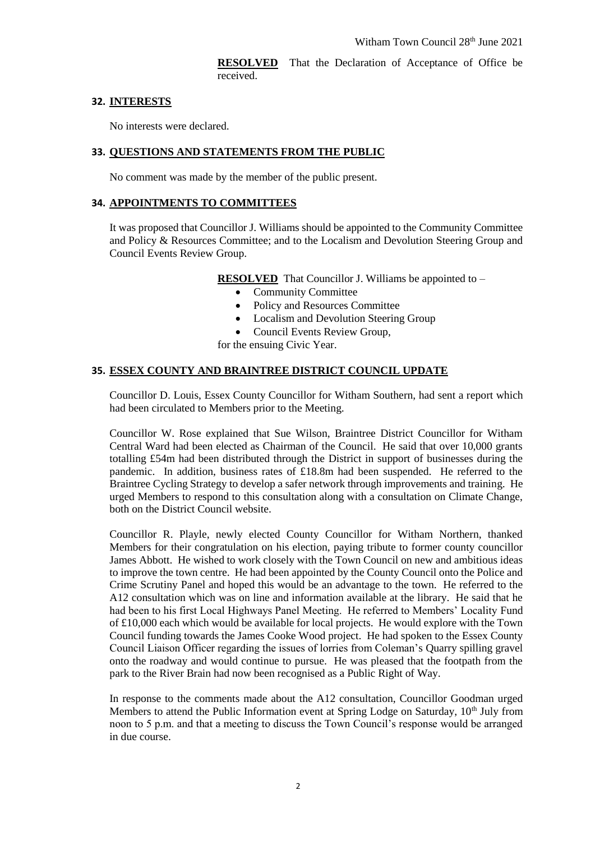**RESOLVED** That the Declaration of Acceptance of Office be received.

#### **32. INTERESTS**

No interests were declared.

#### **33. QUESTIONS AND STATEMENTS FROM THE PUBLIC**

No comment was made by the member of the public present.

#### **34. APPOINTMENTS TO COMMITTEES**

It was proposed that Councillor J. Williams should be appointed to the Community Committee and Policy & Resources Committee; and to the Localism and Devolution Steering Group and Council Events Review Group.

**RESOLVED** That Councillor J. Williams be appointed to –

- Community Committee
- Policy and Resources Committee
- Localism and Devolution Steering Group
- Council Events Review Group,

for the ensuing Civic Year.

#### **35. ESSEX COUNTY AND BRAINTREE DISTRICT COUNCIL UPDATE**

Councillor D. Louis, Essex County Councillor for Witham Southern, had sent a report which had been circulated to Members prior to the Meeting.

Councillor W. Rose explained that Sue Wilson, Braintree District Councillor for Witham Central Ward had been elected as Chairman of the Council. He said that over 10,000 grants totalling £54m had been distributed through the District in support of businesses during the pandemic. In addition, business rates of £18.8m had been suspended. He referred to the Braintree Cycling Strategy to develop a safer network through improvements and training. He urged Members to respond to this consultation along with a consultation on Climate Change, both on the District Council website.

Councillor R. Playle, newly elected County Councillor for Witham Northern, thanked Members for their congratulation on his election, paying tribute to former county councillor James Abbott. He wished to work closely with the Town Council on new and ambitious ideas to improve the town centre. He had been appointed by the County Council onto the Police and Crime Scrutiny Panel and hoped this would be an advantage to the town. He referred to the A12 consultation which was on line and information available at the library. He said that he had been to his first Local Highways Panel Meeting. He referred to Members' Locality Fund of £10,000 each which would be available for local projects. He would explore with the Town Council funding towards the James Cooke Wood project. He had spoken to the Essex County Council Liaison Officer regarding the issues of lorries from Coleman's Quarry spilling gravel onto the roadway and would continue to pursue. He was pleased that the footpath from the park to the River Brain had now been recognised as a Public Right of Way.

In response to the comments made about the A12 consultation, Councillor Goodman urged Members to attend the Public Information event at Spring Lodge on Saturday,  $10<sup>th</sup>$  July from noon to 5 p.m. and that a meeting to discuss the Town Council's response would be arranged in due course.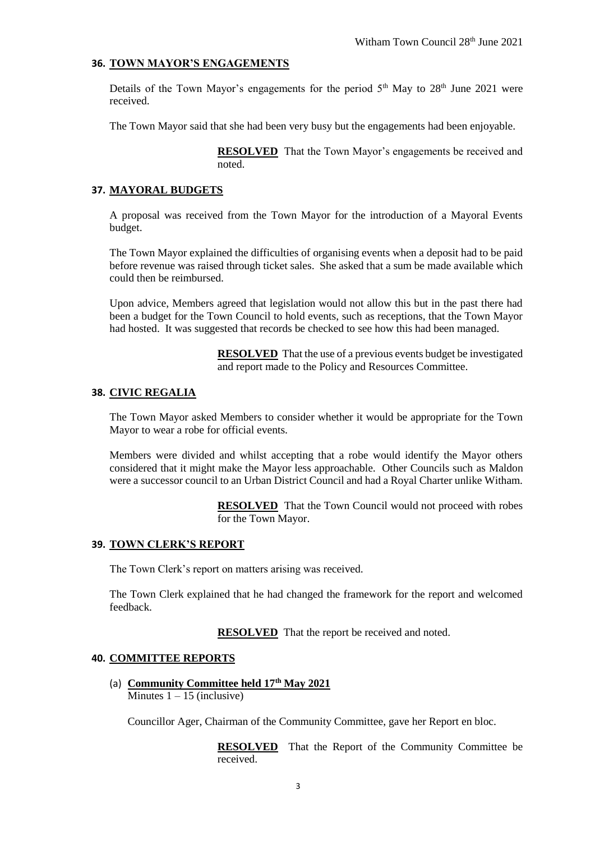# **36. TOWN MAYOR'S ENGAGEMENTS**

Details of the Town Mayor's engagements for the period  $5<sup>th</sup>$  May to  $28<sup>th</sup>$  June 2021 were received.

The Town Mayor said that she had been very busy but the engagements had been enjoyable.

**RESOLVED** That the Town Mayor's engagements be received and noted.

#### **37. MAYORAL BUDGETS**

A proposal was received from the Town Mayor for the introduction of a Mayoral Events budget.

The Town Mayor explained the difficulties of organising events when a deposit had to be paid before revenue was raised through ticket sales. She asked that a sum be made available which could then be reimbursed.

Upon advice, Members agreed that legislation would not allow this but in the past there had been a budget for the Town Council to hold events, such as receptions, that the Town Mayor had hosted. It was suggested that records be checked to see how this had been managed.

> **RESOLVED** That the use of a previous events budget be investigated and report made to the Policy and Resources Committee.

# **38. CIVIC REGALIA**

The Town Mayor asked Members to consider whether it would be appropriate for the Town Mayor to wear a robe for official events.

Members were divided and whilst accepting that a robe would identify the Mayor others considered that it might make the Mayor less approachable. Other Councils such as Maldon were a successor council to an Urban District Council and had a Royal Charter unlike Witham.

> **RESOLVED** That the Town Council would not proceed with robes for the Town Mayor.

#### **39. TOWN CLERK'S REPORT**

The Town Clerk's report on matters arising was received.

The Town Clerk explained that he had changed the framework for the report and welcomed feedback.

**RESOLVED** That the report be received and noted.

#### **40. COMMITTEE REPORTS**

(a) **Community Committee held 17th May 2021** Minutes  $1 - 15$  (inclusive)

Councillor Ager, Chairman of the Community Committee, gave her Report en bloc.

**RESOLVED** That the Report of the Community Committee be received.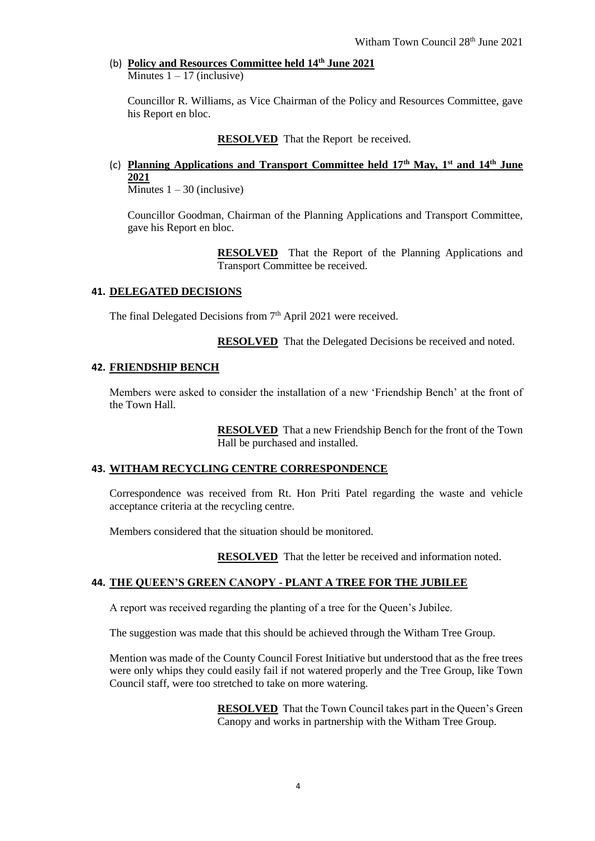#### (b) **Policy and Resources Committee held 14th June 2021** Minutes  $1 - 17$  (inclusive)

Councillor R. Williams, as Vice Chairman of the Policy and Resources Committee, gave his Report en bloc.

**RESOLVED** That the Report be received.

# (c) **Planning Applications and Transport Committee held 17th May, 1st and 14th June 2021**

 $\overline{\text{Minutes}} 1 - 30 \text{ (inclusive)}$ 

Councillor Goodman, Chairman of the Planning Applications and Transport Committee, gave his Report en bloc.

> **RESOLVED** That the Report of the Planning Applications and Transport Committee be received.

# **41. DELEGATED DECISIONS**

The final Delegated Decisions from  $7<sup>th</sup>$  April 2021 were received.

**RESOLVED** That the Delegated Decisions be received and noted.

# **42. FRIENDSHIP BENCH**

Members were asked to consider the installation of a new 'Friendship Bench' at the front of the Town Hall.

> **RESOLVED** That a new Friendship Bench for the front of the Town Hall be purchased and installed.

#### **43. WITHAM RECYCLING CENTRE CORRESPONDENCE**

Correspondence was received from Rt. Hon Priti Patel regarding the waste and vehicle acceptance criteria at the recycling centre.

Members considered that the situation should be monitored.

**RESOLVED** That the letter be received and information noted.

#### **44. THE QUEEN'S GREEN CANOPY - PLANT A TREE FOR THE JUBILEE**

A report was received regarding the planting of a tree for the Queen's Jubilee.

The suggestion was made that this should be achieved through the Witham Tree Group.

Mention was made of the County Council Forest Initiative but understood that as the free trees were only whips they could easily fail if not watered properly and the Tree Group, like Town Council staff, were too stretched to take on more watering.

> **RESOLVED** That the Town Council takes part in the Queen's Green Canopy and works in partnership with the Witham Tree Group.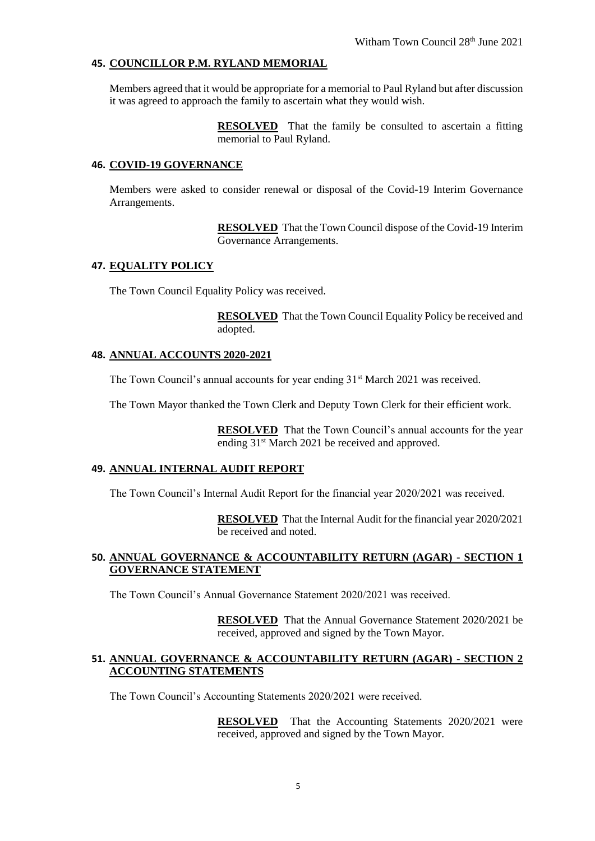# **45. COUNCILLOR P.M. RYLAND MEMORIAL**

Members agreed that it would be appropriate for a memorial to Paul Ryland but after discussion it was agreed to approach the family to ascertain what they would wish.

> **RESOLVED** That the family be consulted to ascertain a fitting memorial to Paul Ryland.

#### **46. COVID-19 GOVERNANCE**

Members were asked to consider renewal or disposal of the Covid-19 Interim Governance Arrangements.

> **RESOLVED** That the Town Council dispose of the Covid-19 Interim Governance Arrangements.

#### **47. EQUALITY POLICY**

The Town Council Equality Policy was received.

**RESOLVED** That the Town Council Equality Policy be received and adopted.

#### **48. ANNUAL ACCOUNTS 2020-2021**

The Town Council's annual accounts for year ending 31<sup>st</sup> March 2021 was received.

The Town Mayor thanked the Town Clerk and Deputy Town Clerk for their efficient work.

**RESOLVED** That the Town Council's annual accounts for the year ending 31<sup>st</sup> March 2021 be received and approved.

#### **49. ANNUAL INTERNAL AUDIT REPORT**

The Town Council's Internal Audit Report for the financial year 2020/2021 was received.

**RESOLVED** That the Internal Audit for the financial year 2020/2021 be received and noted.

#### **50. ANNUAL GOVERNANCE & ACCOUNTABILITY RETURN (AGAR) - SECTION 1 GOVERNANCE STATEMENT**

The Town Council's Annual Governance Statement 2020/2021 was received.

**RESOLVED** That the Annual Governance Statement 2020/2021 be received, approved and signed by the Town Mayor.

#### **51. ANNUAL GOVERNANCE & ACCOUNTABILITY RETURN (AGAR) - SECTION 2 ACCOUNTING STATEMENTS**

The Town Council's Accounting Statements 2020/2021 were received.

**RESOLVED** That the Accounting Statements 2020/2021 were received, approved and signed by the Town Mayor.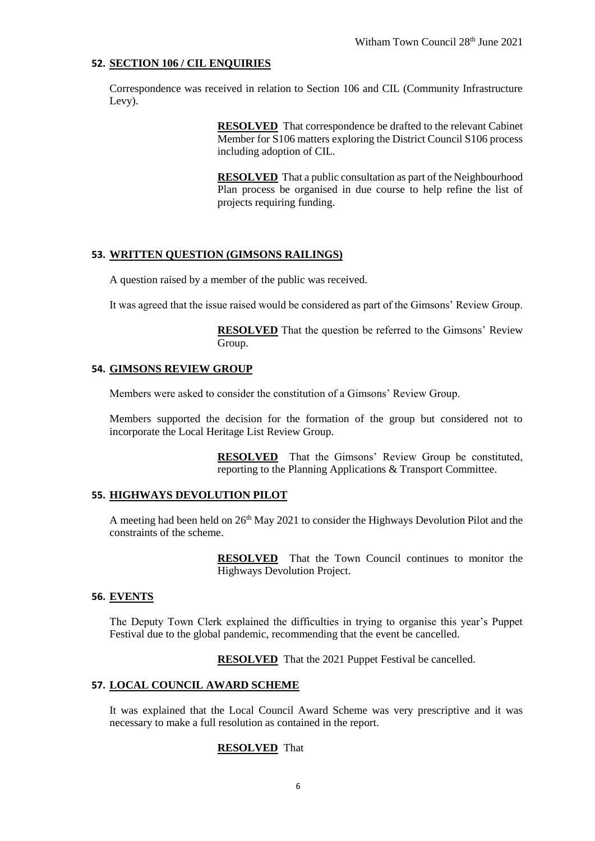#### **52. SECTION 106 / CIL ENQUIRIES**

Correspondence was received in relation to Section 106 and CIL (Community Infrastructure Levy).

> **RESOLVED** That correspondence be drafted to the relevant Cabinet Member for S106 matters exploring the District Council S106 process including adoption of CIL.

> **RESOLVED** That a public consultation as part of the Neighbourhood Plan process be organised in due course to help refine the list of projects requiring funding.

#### **53. WRITTEN QUESTION (GIMSONS RAILINGS)**

A question raised by a member of the public was received.

It was agreed that the issue raised would be considered as part of the Gimsons' Review Group.

**RESOLVED** That the question be referred to the Gimsons' Review Group.

#### **54. GIMSONS REVIEW GROUP**

Members were asked to consider the constitution of a Gimsons' Review Group.

Members supported the decision for the formation of the group but considered not to incorporate the Local Heritage List Review Group.

> **RESOLVED** That the Gimsons' Review Group be constituted, reporting to the Planning Applications & Transport Committee.

#### **55. HIGHWAYS DEVOLUTION PILOT**

A meeting had been held on  $26<sup>th</sup>$  May 2021 to consider the Highways Devolution Pilot and the constraints of the scheme.

> **RESOLVED** That the Town Council continues to monitor the Highways Devolution Project.

#### **56. EVENTS**

The Deputy Town Clerk explained the difficulties in trying to organise this year's Puppet Festival due to the global pandemic, recommending that the event be cancelled.

**RESOLVED** That the 2021 Puppet Festival be cancelled.

#### **57. LOCAL COUNCIL AWARD SCHEME**

It was explained that the Local Council Award Scheme was very prescriptive and it was necessary to make a full resolution as contained in the report.

#### **RESOLVED** That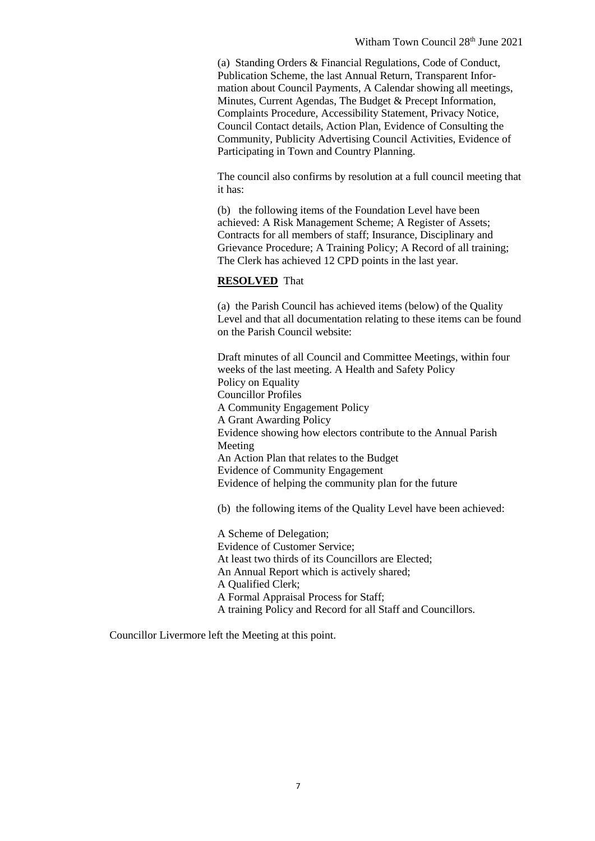(a) Standing Orders & Financial Regulations, Code of Conduct, Publication Scheme, the last Annual Return, Transparent Information about Council Payments, A Calendar showing all meetings, Minutes, Current Agendas, The Budget & Precept Information, Complaints Procedure, Accessibility Statement, Privacy Notice, Council Contact details, Action Plan, Evidence of Consulting the Community, Publicity Advertising Council Activities, Evidence of Participating in Town and Country Planning.

The council also confirms by resolution at a full council meeting that it has:

(b) the following items of the Foundation Level have been achieved: A Risk Management Scheme; A Register of Assets; Contracts for all members of staff; Insurance, Disciplinary and Grievance Procedure; A Training Policy; A Record of all training; The Clerk has achieved 12 CPD points in the last year.

#### **RESOLVED** That

(a) the Parish Council has achieved items (below) of the Quality Level and that all documentation relating to these items can be found on the Parish Council website:

Draft minutes of all Council and Committee Meetings, within four weeks of the last meeting. A Health and Safety Policy Policy on Equality Councillor Profiles A Community Engagement Policy A Grant Awarding Policy Evidence showing how electors contribute to the Annual Parish Meeting An Action Plan that relates to the Budget Evidence of Community Engagement Evidence of helping the community plan for the future

(b) the following items of the Quality Level have been achieved:

A Scheme of Delegation; Evidence of Customer Service; At least two thirds of its Councillors are Elected; An Annual Report which is actively shared; A Qualified Clerk; A Formal Appraisal Process for Staff; A training Policy and Record for all Staff and Councillors.

Councillor Livermore left the Meeting at this point.